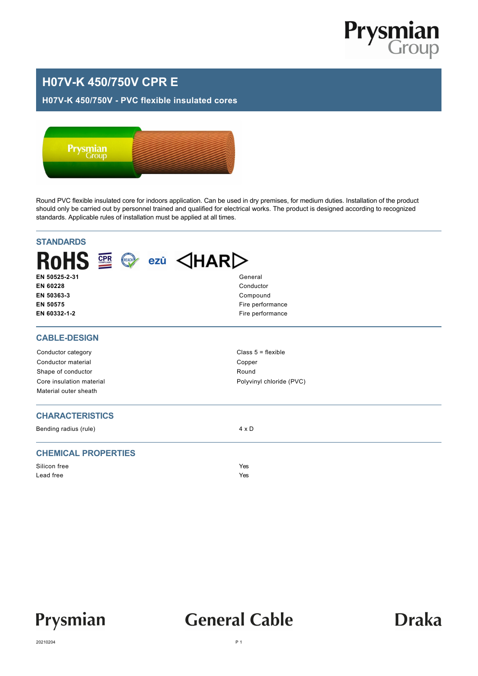

### **H07V-K 450/750V CPR E**

#### **H07V-K 450/750V - PVC flexible insulated cores**



Round PVC flexible insulated core for indoors application. Can be used in dry premises, for medium duties. Installation of the product should only be carried out by personnel trained and qualified for electrical works. The product is designed according to recognized standards. Applicable rules of installation must be applied at all times.

| <b>STANDARDS</b>                                                          |                          |  |  |  |  |  |  |
|---------------------------------------------------------------------------|--------------------------|--|--|--|--|--|--|
| ROHS $\mathbb{R} \otimes \mathbb{R}$ ezü $\triangle$ HAR $\triangleright$ |                          |  |  |  |  |  |  |
| EN 50525-2-31                                                             | General                  |  |  |  |  |  |  |
| EN 60228<br>EN 50363-3                                                    | Conductor<br>Compound    |  |  |  |  |  |  |
| EN 50575                                                                  | Fire performance         |  |  |  |  |  |  |
| EN 60332-1-2                                                              | Fire performance         |  |  |  |  |  |  |
| <b>CABLE-DESIGN</b>                                                       |                          |  |  |  |  |  |  |
| Conductor category                                                        | Class $5 =$ flexible     |  |  |  |  |  |  |
| Conductor material                                                        | Copper                   |  |  |  |  |  |  |
| Shape of conductor                                                        | Round                    |  |  |  |  |  |  |
| Core insulation material                                                  | Polyvinyl chloride (PVC) |  |  |  |  |  |  |
| Material outer sheath                                                     |                          |  |  |  |  |  |  |
| <b>CHARACTERISTICS</b>                                                    |                          |  |  |  |  |  |  |
| Bending radius (rule)                                                     | $4 \times D$             |  |  |  |  |  |  |
| <b>CHEMICAL PROPERTIES</b>                                                |                          |  |  |  |  |  |  |
| Silicon free                                                              | Yes                      |  |  |  |  |  |  |
| Lead free                                                                 | Yes                      |  |  |  |  |  |  |
|                                                                           |                          |  |  |  |  |  |  |



## **General Cable**